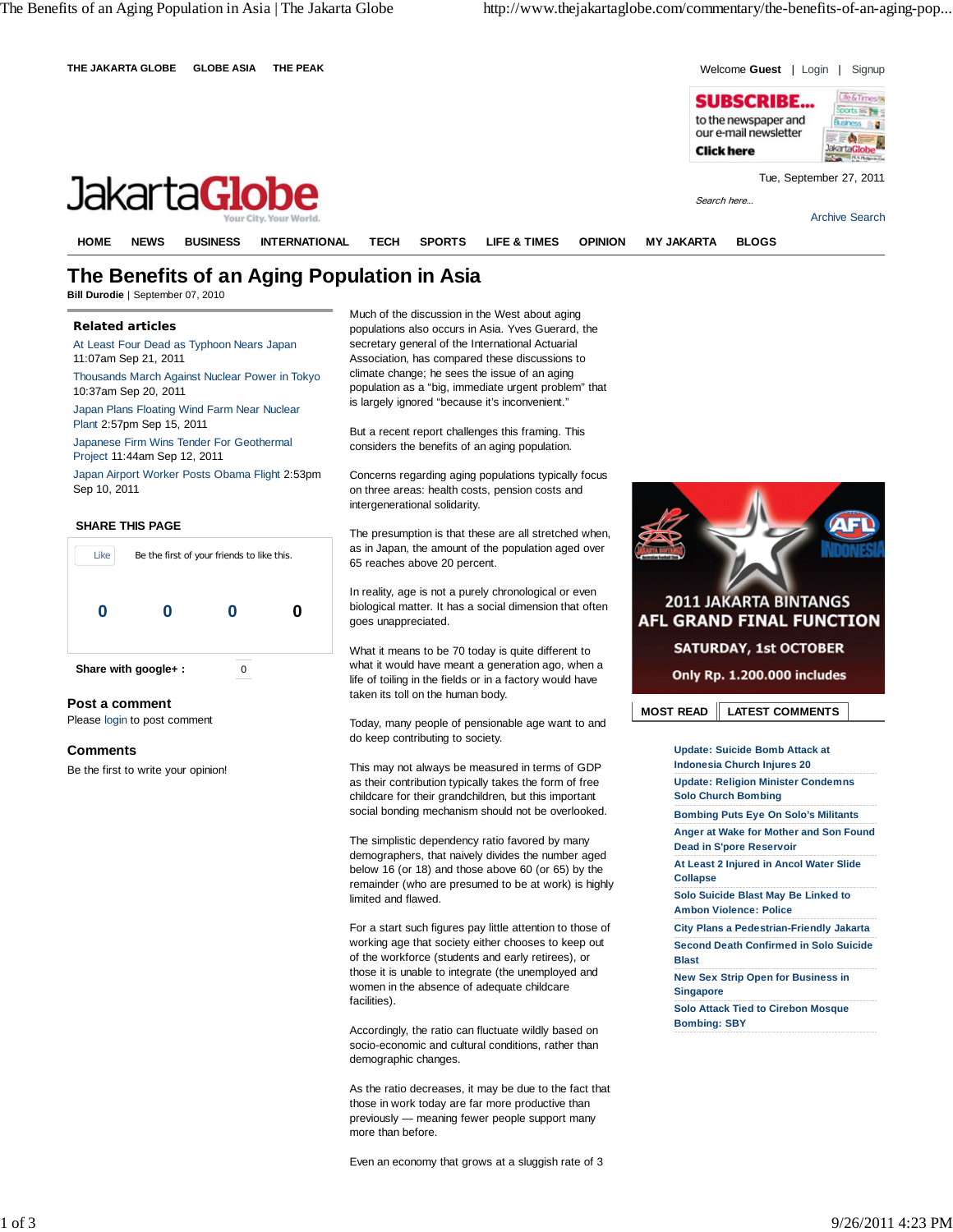

# **The Benefits of an Aging Population in Asia**

**Bill Durodie** | September 07, 2010

## **Related articles**

At Least Four Dead as Typhoon Nears Japan 11:07am Sep 21, 2011 Thousands March Against Nuclear Power in Tokyo 10:37am Sep 20, 2011

Japan Plans Floating Wind Farm Near Nuclear Plant 2:57pm Sep 15, 2011

Japanese Firm Wins Tender For Geothermal Project 11:44am Sep 12, 2011

Japan Airport Worker Posts Obama Flight 2:53pm Sep 10, 2011

#### **SHARE THIS PAGE**



**Post a comment**

Please login to post comment

### **Comments**

Be the first to write your opinion!

Much of the discussion in the West about aging populations also occurs in Asia. Yves Guerard, the secretary general of the International Actuarial Association, has compared these discussions to climate change; he sees the issue of an aging population as a "big, immediate urgent problem" that is largely ignored "because it's inconvenient."

But a recent report challenges this framing. This considers the benefits of an aging population.

Concerns regarding aging populations typically focus on three areas: health costs, pension costs and intergenerational solidarity.

The presumption is that these are all stretched when, as in Japan, the amount of the population aged over 65 reaches above 20 percent.

In reality, age is not a purely chronological or even biological matter. It has a social dimension that often goes unappreciated.

What it means to be 70 today is quite different to what it would have meant a generation ago, when a life of toiling in the fields or in a factory would have taken its toll on the human body.

Today, many people of pensionable age want to and do keep contributing to society.

This may not always be measured in terms of GDP as their contribution typically takes the form of free childcare for their grandchildren, but this important social bonding mechanism should not be overlooked.

The simplistic dependency ratio favored by many demographers, that naively divides the number aged below 16 (or 18) and those above 60 (or 65) by the remainder (who are presumed to be at work) is highly limited and flawed.

For a start such figures pay little attention to those of working age that society either chooses to keep out of the workforce (students and early retirees), or those it is unable to integrate (the unemployed and women in the absence of adequate childcare facilities).

Accordingly, the ratio can fluctuate wildly based on socio-economic and cultural conditions, rather than demographic changes.

As the ratio decreases, it may be due to the fact that those in work today are far more productive than previously — meaning fewer people support many more than before.

Even an economy that grows at a sluggish rate of 3



**Update: Suicide Bomb Attack at Indonesia Church Injures 20 Update: Religion Minister Condemns Solo Church Bombing Bombing Puts Eye On Solo's Militants Anger at Wake for Mother and Son Found Dead in S'pore Reservoir At Least 2 Injured in Ancol Water Slide Collapse Solo Suicide Blast May Be Linked to Ambon Violence: Police City Plans a Pedestrian-Friendly Jakarta Second Death Confirmed in Solo Suicide Blast New Sex Strip Open for Business in Singapore Solo Attack Tied to Cirebon Mosque Bombing: SBY**